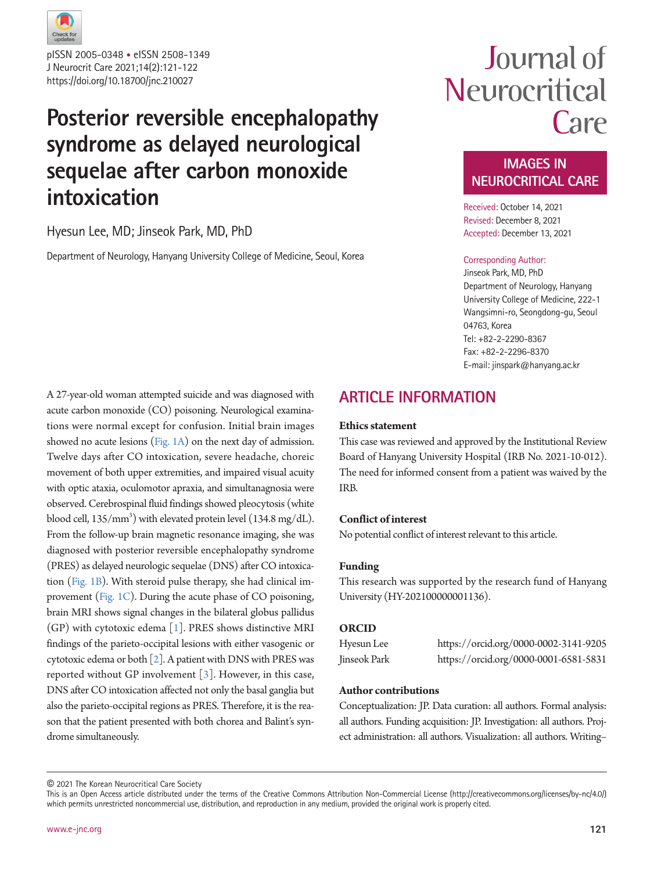

J Neurocrit Care 2021;14(2):121-122 https://doi.org/10.18700/jnc.210027 pISSN 2005-0348 • eISSN 2508-1349

## **Posterior reversible encephalopathy syndrome as delayed neurological sequelae after carbon monoxide intoxication**

#### Hyesun Lee, MD; Jinseok Park, MD, PhD

Department of Neurology, Hanyang University College of Medicine, Seoul, Korea

# Journal of Neurocritical Care

### **IMAGES IN NEUROCRITICAL CARE**

Received: October 14, 2021 Revised: December 8, 2021 Accepted: December 13, 2021

#### Corresponding Author:

Jinseok Park, MD, PhD Department of Neurology, Hanyang University College of Medicine, 222-1 Wangsimni-ro, Seongdong-gu, Seoul 04763, Korea Tel: +82-2-2290-8367 Fax: +82-2-2296-8370 E-mail: jinspark@hanyang.ac.kr

A 27-year-old woman attempted suicide and was diagnosed with acute carbon monoxide (CO) poisoning. Neurological examinations were normal except for confusion. Initial brain images showed no acute lesions [\(Fig. 1A\)](#page-1-0) on the next day of admission. Twelve days after CO intoxication, severe headache, choreic movement of both upper extremities, and impaired visual acuity with optic ataxia, oculomotor apraxia, and simultanagnosia were observed. Cerebrospinal fluid findings showed pleocytosis (white blood cell,  $135/\text{mm}^3$ ) with elevated protein level (134.8 mg/dL). From the follow-up brain magnetic resonance imaging, she was diagnosed with posterior reversible encephalopathy syndrome (PRES) as delayed neurologic sequelae (DNS) after CO intoxication [\(Fig. 1B](#page-1-0)). With steroid pulse therapy, she had clinical improvement [\(Fig. 1C](#page-1-0)). During the acute phase of CO poisoning, brain MRI shows signal changes in the bilateral globus pallidus (GP) with cytotoxic edema [\[1\]](#page-1-1). PRES shows distinctive MRI findings of the parieto-occipital lesions with either vasogenic or cytotoxic edema or both  $[2]$ . A patient with DNS with PRES was reported without GP involvement [\[3](#page-1-2)]. However, in this case, DNS after CO intoxication affected not only the basal ganglia but also the parieto-occipital regions as PRES. Therefore, it is the reason that the patient presented with both chorea and Balint's syndrome simultaneously.

## **ARTICLE INFORMATION**

#### **Ethics statement**

This case was reviewed and approved by the Institutional Review Board of Hanyang University Hospital (IRB No. 2021-10-012). The need for informed consent from a patient was waived by the IRB.

#### **Conflict of interest**

No potential conflict of interest relevant to this article.

#### **Funding**

This research was supported by the research fund of Hanyang University (HY-202100000001136).

#### **ORCID**

<span id="page-0-0"></span>

| Hyesun Lee   | https://orcid.org/0000-0002-3141-9205 |
|--------------|---------------------------------------|
| Jinseok Park | https://orcid.org/0000-0001-6581-5831 |

#### **Author contributions**

Conceptualization: JP. Data curation: all authors. Formal analysis: all authors. Funding acquisition: JP. Investigation: all authors. Project administration: all authors. Visualization: all authors. Writing–

© 2021 The Korean Neurocritical Care Society

This is an Open Access article distributed under the terms of the Creative Commons Attribution Non-Commercial License (http://creativecommons.org/licenses/by-nc/4.0/) which permits unrestricted noncommercial use, distribution, and reproduction in any medium, provided the original work is properly cited.